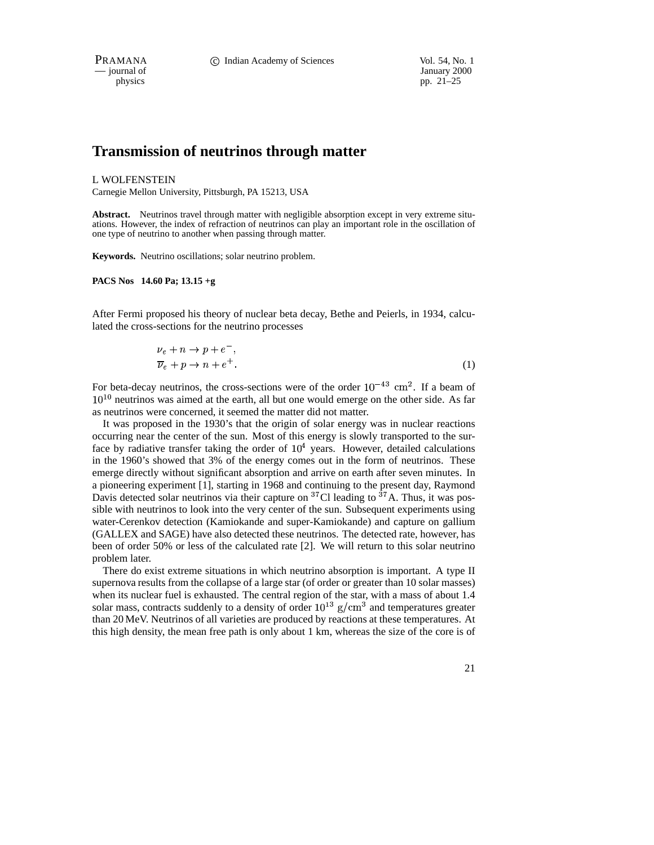— journal of January 2000<br>physics pp. 21–25

pp. 21–25

# **Transmission of neutrinos through matter**

#### L WOLFENSTEIN

Carnegie Mellon University, Pittsburgh, PA 15213, USA

**Abstract.** Neutrinos travel through matter with negligible absorption except in very extreme situations. However, the index of refraction of neutrinos can play an important role in the oscillation of one type of neutrino to another when passing through matter.

**Keywords.** Neutrino oscillations; solar neutrino problem.

#### **PACS Nos 14.60 Pa; 13.15 +g**

After Fermi proposed his theory of nuclear beta decay, Bethe and Peierls, in 1934, calculated the cross-sections for the neutrino processes

$$
\nu_e + n \to p + e \quad ,
$$
  
\n
$$
\overline{\nu}_e + p \to n + e^+.
$$
 (1)

For beta-decay neutrinos, the cross-sections were of the order  $10^{-43}$  cm<sup>2</sup>. If a beam of  $10^{10}$  neutrinos was aimed at the earth, all but one would emerge on the other side. As far as neutrinos were concerned, it seemed the matter did not matter.

It was proposed in the 1930's that the origin of solar energy was in nuclear reactions occurring near the center of the sun. Most of this energy is slowly transported to the surface by radiative transfer taking the order of  $10<sup>4</sup>$  years. However, detailed calculations in the 1960's showed that 3% of the energy comes out in the form of neutrinos. These emerge directly without significant absorption and arrive on earth after seven minutes. In a pioneering experiment [1], starting in 1968 and continuing to the present day, Raymond Davis detected solar neutrinos via their capture on  ${}^{37}$ Cl leading to  ${}^{37}$ A. Thus, it was possible with neutrinos to look into the very center of the sun. Subsequent experiments using water-Cerenkov detection (Kamiokande and super-Kamiokande) and capture on gallium (GALLEX and SAGE) have also detected these neutrinos. The detected rate, however, has been of order 50% or less of the calculated rate [2]. We will return to this solar neutrino problem later.

There do exist extreme situations in which neutrino absorption is important. A type II supernova results from the collapse of a large star (of order or greater than 10 solar masses) when its nuclear fuel is exhausted. The central region of the star, with a mass of about 1.4 solar mass, contracts suddenly to a density of order  $10^{13}$  g/cm<sup>3</sup> and temperatures greater than 20 MeV. Neutrinos of all varieties are produced by reactions at these temperatures. At this high density, the mean free path is only about 1 km, whereas the size of the core is of

21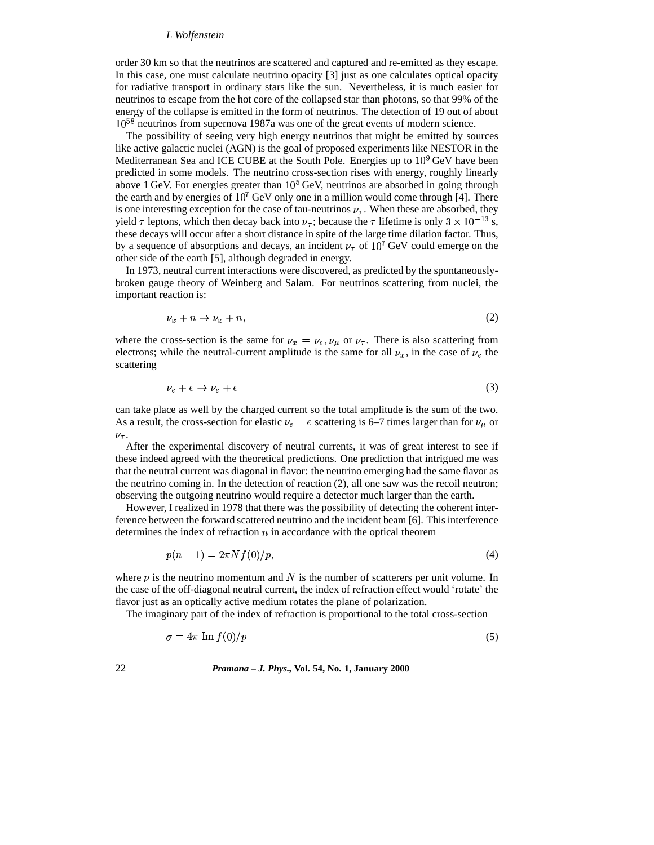#### *L Wolfenstein*

order 30 km so that the neutrinos are scattered and captured and re-emitted as they escape. In this case, one must calculate neutrino opacity [3] just as one calculates optical opacity for radiative transport in ordinary stars like the sun. Nevertheless, it is much easier for neutrinos to escape from the hot core of the collapsed star than photons, so that 99% of the energy of the collapse is emitted in the form of neutrinos. The detection of 19 out of about  $10^{58}$  neutrinos from supernova 1987a was one of the great events of modern science.

The possibility of seeing very high energy neutrinos that might be emitted by sources like active galactic nuclei (AGN) is the goal of proposed experiments like NESTOR in the Mediterranean Sea and ICE CUBE at the South Pole. Energies up to  $10^9$  GeV have been predicted in some models. The neutrino cross-section rises with energy, roughly linearly above 1 GeV. For energies greater than  $10<sup>5</sup>$  GeV, neutrinos are absorbed in going through the earth and by energies of  $10^7$  GeV only one in a million would come through [4]. There is one interesting exception for the case of tau-neutrinos  $\nu_{\tau}$ . When these are absorbed, they yield  $\tau$  leptons, which then decay back into  $\nu_{\tau}$ ; because the  $\tau$  lifetime is only  $3 \times 10^{-13}$  s, these decays will occur after a short distance in spite of the large time dilation factor. Thus, by a sequence of absorptions and decays, an incident  $\nu_{\tau}$  of  $10^{7}$  GeV could emerge on the other side of the earth [5], although degraded in energy.

In 1973, neutral current interactions were discovered, as predicted by the spontaneouslybroken gauge theory of Weinberg and Salam. For neutrinos scattering from nuclei, the important reaction is:

$$
\nu_x + n \to \nu_x + n,\tag{2}
$$

where the cross-section is the same for  $\nu_x = \nu_e, \nu_\mu$  or  $\nu_\tau$ . There is also scattering from electrons; while the neutral-current amplitude is the same for all  $\nu_x$ , in the case of  $\nu_e$  the scattering

$$
\nu_e + e \to \nu_e + e \tag{3}
$$

can take place as well by the charged current so the total amplitude is the sum of the two. As a result, the cross-section for elastic  $\nu_e - e$  scattering is 6–7 times larger than for  $\nu_\mu$  or  $\nu_{\tau}$ .

After the experimental discovery of neutral currents, it was of great interest to see if these indeed agreed with the theoretical predictions. One prediction that intrigued me was that the neutral current was diagonal in flavor: the neutrino emerging had the same flavor as the neutrino coming in. In the detection of reaction (2), all one saw was the recoil neutron; observing the outgoing neutrino would require a detector much larger than the earth.

However, I realized in 1978 that there was the possibility of detecting the coherent interference between the forward scattered neutrino and the incident beam [6]. This interference determines the index of refraction  $n$  in accordance with the optical theorem

$$
p(n-1) = 2\pi N f(0)/p,
$$
\n(4)

where  $p$  is the neutrino momentum and  $N$  is the number of scatterers per unit volume. In the case of the off-diagonal neutral current, the index of refraction effect would 'rotate' the flavor just as an optically active medium rotates the plane of polarization.

The imaginary part of the index of refraction is proportional to the total cross-section

$$
\sigma = 4\pi \operatorname{Im} f(0)/p \tag{5}
$$

22 *Pramana – J. Phys.,* **Vol. 54, No. 1, January 2000**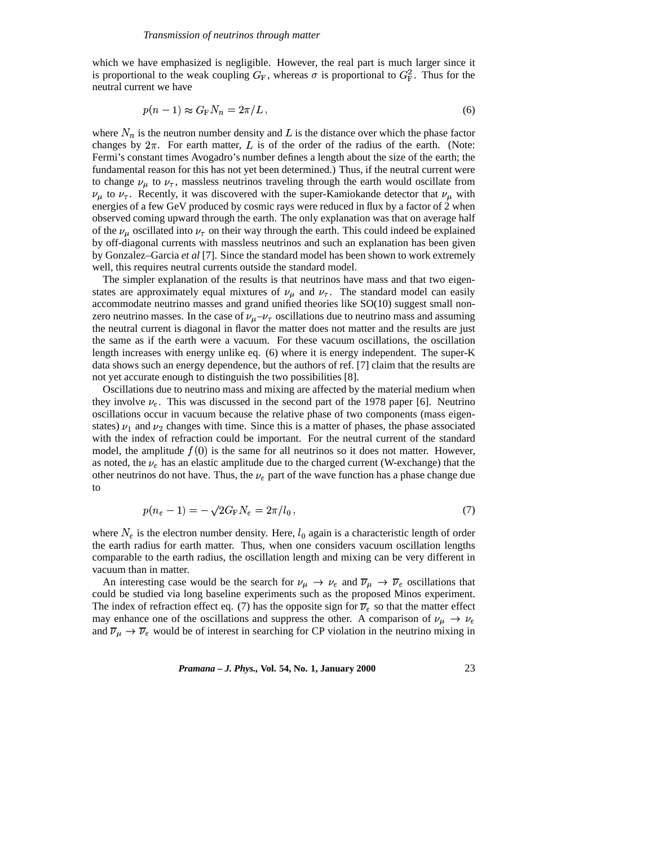which we have emphasized is negligible. However, the real part is much larger since it is proportional to the weak coupling  $G_F$ , whereas  $\sigma$  is proportional to  $G_F^2$ . Thus for the neutral current we have

$$
p(n-1) \approx G_{\rm F} N_n = 2\pi/L \,, \tag{6}
$$

where  $N_n$  is the neutron number density and L is the distance over which the phase factor changes by  $2\pi$ . For earth matter,  $L$  is of the order of the radius of the earth. (Note: Fermi's constant times Avogadro's number defines a length about the size of the earth; the fundamental reason for this has not yet been determined.) Thus, if the neutral current were to change  $\nu_{\mu}$  to  $\nu_{\tau}$ , massless neutrinos traveling through the earth would oscillate from  $\nu_{\mu}$  to  $\nu_{\tau}$ . Recently, it was discovered with the super-Kamiokande detector that  $\nu_{\mu}$  with energies of a few GeV produced by cosmic rays were reduced in flux by a factor of 2 when observed coming upward through the earth. The only explanation was that on average half of the  $\nu_{\mu}$  oscillated into  $\nu_{\tau}$  on their way through the earth. This could indeed be explained by off-diagonal currents with massless neutrinos and such an explanation has been given by Gonzalez–Garcia *et al* [7]. Since the standard model has been shown to work extremely well, this requires neutral currents outside the standard model.

The simpler explanation of the results is that neutrinos have mass and that two eigenstates are approximately equal mixtures of  $\nu_{\mu}$  and  $\nu_{\tau}$ . The standard model can easily accommodate neutrino masses and grand unified theories like SO(10) suggest small nonzero neutrino masses. In the case of  $\nu_{\mu} - \nu_{\tau}$  oscillations due to neutrino mass and assuming the neutral current is diagonal in flavor the matter does not matter and the results are just the same as if the earth were a vacuum. For these vacuum oscillations, the oscillation length increases with energy unlike eq. (6) where it is energy independent. The super-K data shows such an energy dependence, but the authors of ref. [7] claim that the results are not yet accurate enough to distinguish the two possibilities [8].

Oscillations due to neutrino mass and mixing are affected by the material medium when they involve  $\nu_e$ . This was discussed in the second part of the 1978 paper [6]. Neutrino oscillations occur in vacuum because the relative phase of two components (mass eigenstates)  $\nu_1$  and  $\nu_2$  changes with time. Since this is a matter of phases, the phase associated with the index of refraction could be important. For the neutral current of the standard model, the amplitude  $f(0)$  is the same for all neutrinos so it does not matter. However, as noted, the  $\nu_e$  has an elastic amplitude due to the charged current (W-exchange) that the other neutrinos do not have. Thus, the  $\nu_e$  part of the wave function has a phase change due to

$$
p(n_e - 1) = -\sqrt{2}G_{\rm F}N_e = 2\pi/l_0 \,,\tag{7}
$$

where  $N_e$  is the electron number density. Here,  $l_0$  again is a characteristic length of order the earth radius for earth matter. Thus, when one considers vacuum oscillation lengths comparable to the earth radius, the oscillation length and mixing can be very different in vacuum than in matter.

An interesting case would be the search for  $\nu_\mu \to \nu_e$  and  $\overline{\nu}_\mu \to \overline{\nu}_e$  oscillations that could be studied via long baseline experiments such as the proposed Minos experiment. The index of refraction effect eq. (7) has the opposite sign for  $\overline{\nu}_e$  so that the matter effect may enhance one of the oscillations and suppress the other. A comparison of  $\nu_{\mu} \rightarrow \nu_{e}$ and  $\overline{\nu}_{\mu} \rightarrow \overline{\nu}_{e}$  would be of interest in searching for CP violation in the neutrino mixing in

*Pramana – J. Phys.,* **Vol. 54, No. 1, January 2000** 23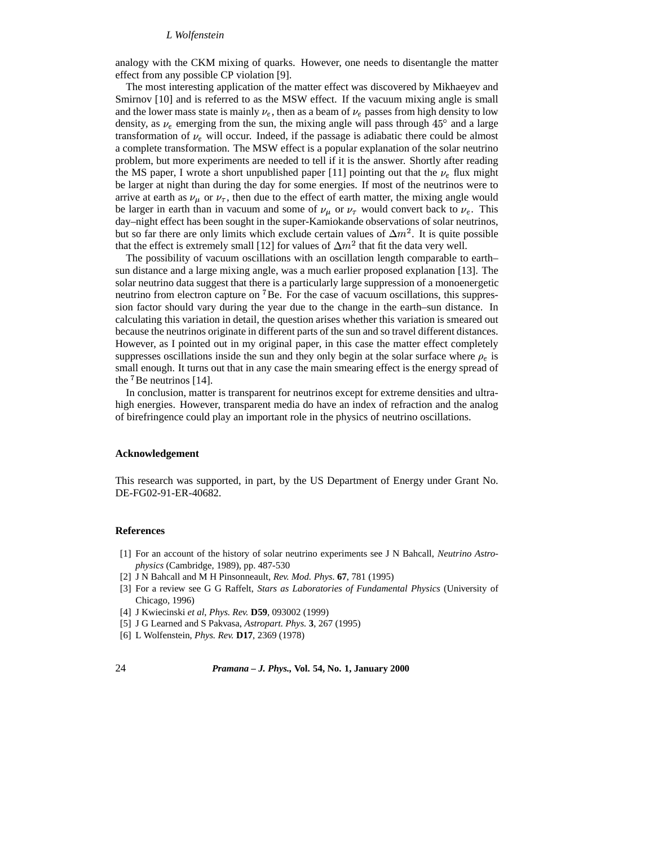#### *L Wolfenstein*

analogy with the CKM mixing of quarks. However, one needs to disentangle the matter effect from any possible CP violation [9].

The most interesting application of the matter effect was discovered by Mikhaeyev and Smirnov [10] and is referred to as the MSW effect. If the vacuum mixing angle is small and the lower mass state is mainly  $\nu_e$ , then as a beam of  $\nu_e$  passes from high density to low density, as  $\nu_e$  emerging from the sun, the mixing angle will pass through 45° and a large transformation of  $\nu_e$  will occur. Indeed, if the passage is adiabatic there could be almost a complete transformation. The MSW effect is a popular explanation of the solar neutrino problem, but more experiments are needed to tell if it is the answer. Shortly after reading the MS paper, I wrote a short unpublished paper [11] pointing out that the  $\nu_e$  flux might be larger at night than during the day for some energies. If most of the neutrinos were to arrive at earth as  $\nu_{\mu}$  or  $\nu_{\tau}$ , then due to the effect of earth matter, the mixing angle would be larger in earth than in vacuum and some of  $\nu_{\mu}$  or  $\nu_{\tau}$  would convert back to  $\nu_{e}$ . This day–night effect has been sought in the super-Kamiokande observations of solar neutrinos, but so far there are only limits which exclude certain values of  $\Delta m^2$ . It is quite possible that the effect is extremely small [12] for values of  $\Delta m^2$  that fit the data very well.

The possibility of vacuum oscillations with an oscillation length comparable to earth– sun distance and a large mixing angle, was a much earlier proposed explanation [13]. The solar neutrino data suggest that there is a particularly large suppression of a monoenergetic neutrino from electron capture on <sup>7</sup>Be. For the case of vacuum oscillations, this suppression factor should vary during the year due to the change in the earth–sun distance. In calculating this variation in detail, the question arises whether this variation is smeared out because the neutrinos originate in different parts of the sun and so travel different distances. However, as I pointed out in my original paper, in this case the matter effect completely suppresses oscillations inside the sun and they only begin at the solar surface where  $\rho_e$  is small enough. It turns out that in any case the main smearing effect is the energy spread of the  ${}^{7}$ Be neutrinos [14].

In conclusion, matter is transparent for neutrinos except for extreme densities and ultrahigh energies. However, transparent media do have an index of refraction and the analog of birefringence could play an important role in the physics of neutrino oscillations.

#### **Acknowledgement**

This research was supported, in part, by the US Department of Energy under Grant No. DE-FG02-91-ER-40682.

### **References**

- [1] For an account of the history of solar neutrino experiments see J N Bahcall, *Neutrino Astrophysics* (Cambridge, 1989), pp. 487-530
- [2] J N Bahcall and M H Pinsonneault, *Rev. Mod. Phys.* **67**, 781 (1995)
- [3] For a review see G G Raffelt, *Stars as Laboratories of Fundamental Physics* (University of Chicago, 1996)
- [4] J Kwiecinski *et al*, *Phys. Rev.* **D59**, 093002 (1999)
- [5] J G Learned and S Pakvasa, *Astropart. Phys.* **3**, 267 (1995)
- [6] L Wolfenstein, *Phys. Rev.* **D17**, 2369 (1978)

## 24 *Pramana – J. Phys.,* **Vol. 54, No. 1, January 2000**